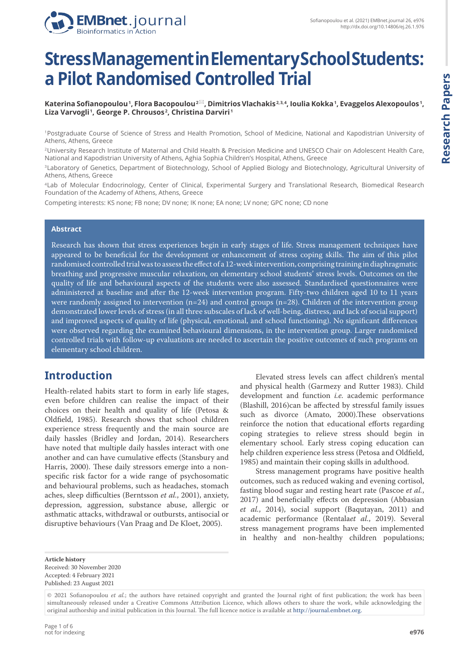

# **Stress Management in Elementary School Students: a Pilot Randomised Controlled Trial**

**Katerina Sofianopoulou <sup>1</sup> , Flora Bacopoulou 2 , Dimitrios Vlachakis 2, 3, 4, Ioulia Kokka <sup>1</sup> , Evaggelos Alexopoulos <sup>1</sup> , Liza Varvogli <sup>1</sup> , George P. Chrousos <sup>2</sup> , Christina Darviri <sup>1</sup>**

1 Postgraduate Course of Science of Stress and Health Promotion, School of Medicine, National and Kapodistrian University of Athens, Athens, Greece

2 University Research Institute of Maternal and Child Health & Precision Medicine and UNESCO Chair on Adolescent Health Care, National and Kapodistrian University of Athens, Aghia Sophia Children's Hospital, Athens, Greece

3 Laboratory of Genetics, Department of Biotechnology, School of Applied Biology and Biotechnology, Agricultural University of Athens, Athens, Greece

4 Lab of Molecular Endocrinology, Center of Clinical, Experimental Surgery and Translational Research, Biomedical Research Foundation of the Academy of Athens, Athens, Greece

Competing interests: KS none; FB none; DV none; IK none; EA none; LV none; GPC none; CD none

#### **Abstract**

Research has shown that stress experiences begin in early stages of life. Stress management techniques have appeared to be beneficial for the development or enhancement of stress coping skills. The aim of this pilot randomised controlled trial was to assess the effect of a 12-week intervention, comprising training in diaphragmatic breathing and progressive muscular relaxation, on elementary school students' stress levels. Outcomes on the quality of life and behavioural aspects of the students were also assessed. Standardised questionnaires were administered at baseline and after the 12-week intervention program. Fifty-two children aged 10 to 11 years were randomly assigned to intervention  $(n=24)$  and control groups  $(n=28)$ . Children of the intervention group demonstrated lower levels of stress (in all three subscales of lack of well-being, distress, and lack of social support) and improved aspects of quality of life (physical, emotional, and school functioning). No significant differences were observed regarding the examined behavioural dimensions, in the intervention group. Larger randomised controlled trials with follow-up evaluations are needed to ascertain the positive outcomes of such programs on elementary school children.

#### **Introduction**

Health-related habits start to form in early life stages, even before children can realise the impact of their choices on their health and quality of life (Petosa & Oldfield, 1985). Research shows that school children experience stress frequently and the main source are daily hassles (Bridley and Jordan, 2014). Researchers have noted that multiple daily hassles interact with one another and can have cumulative effects (Stansbury and Harris, 2000). These daily stressors emerge into a nonspecific risk factor for a wide range of psychosomatic and behavioural problems, such as headaches, stomach aches, sleep difficulties (Berntsson *et al.*, 2001), anxiety, depression, aggression, substance abuse, allergic or asthmatic attacks, withdrawal or outbursts, antisocial or disruptive behaviours (Van Praag and De Kloet, 2005).

Elevated stress levels can affect children's mental and physical health (Garmezy and Rutter 1983). Child development and function *i.e.* academic performance (Blashill, 2016)can be affected by stressful family issues such as divorce (Amato, 2000).These observations reinforce the notion that educational efforts regarding coping strategies to relieve stress should begin in elementary school. Early stress coping education can help children experience less stress (Petosa and Oldfield, 1985) and maintain their coping skills in adulthood.

Stress management programs have positive health outcomes, such as reduced waking and evening cortisol, fasting blood sugar and resting heart rate (Pascoe *et al.*, 2017) and beneficially effects on depression (Abbasian *et al.*, 2014), social support (Baqutayan, 2011) and academic performance (Rentala*et al.*, 2019). Several stress management programs have been implemented in healthy and non-healthy children populations;

**Article history** Received: 30 November 2020 Accepted: 4 February 2021 Published: 23 August 2021

<sup>© 2021</sup> Sofianopoulou *et al.*; the authors have retained copyright and granted the Journal right of first publication; the work has been simultaneously released under a Creative Commons Attribution Licence, which allows others to share the work, while acknowledging the original authorship and initial publication in this Journal. The full licence notice is available at http://journal.embnet.org.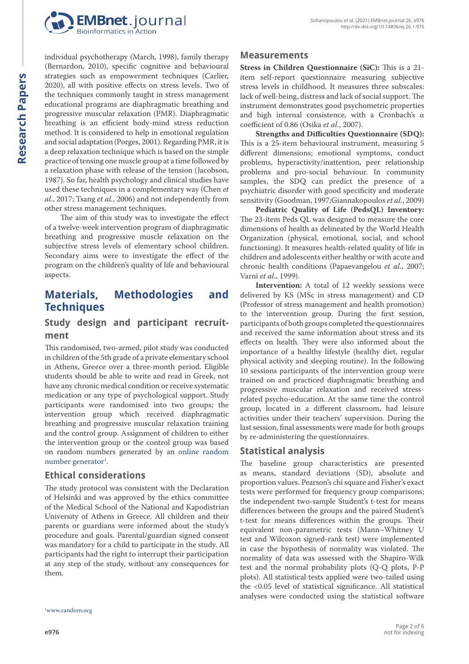

individual psychotherapy (March, 1998), family therapy (Bernardon, 2010), specific cognitive and behavioural strategies such as empowerment techniques (Carlier, 2020), all with positive effects on stress levels. Two of the techniques commonly taught in stress management educational programs are diaphragmatic breathing and progressive muscular relaxation (PMR). Diaphragmatic breathing is an efficient body-mind stress reduction method. It is considered to help in emotional regulation and social adaptation (Porges, 2001). Regarding PMR, it is a deep relaxation technique which is based on the simple practice of tensing one muscle group at a time followed by a relaxation phase with release of the tension (Jacobson, 1987). So far, health psychology and clinical studies have used these techniques in a complementary way (Chen *et al.*, 2017; Tsang *et al.*, 2006) and not independently from other stress management techniques.

The aim of this study was to investigate the effect of a twelve-week intervention program of diaphragmatic breathing and progressive muscle relaxation on the subjective stress levels of elementary school children. Secondary aims were to investigate the effect of the program on the children's quality of life and behavioural aspects.

## **Materials, Methodologies and Techniques**

#### **Study design and participant recruitment**

This randomised, two-armed, pilot study was conducted in children of the 5th grade of a private elementary school in Athens, Greece over a three-month period. Eligible students should be able to write and read in Greek, not have any chronic medical condition or receive systematic medication or any type of psychological support. Study participants were randomised into two groups; the intervention group which received diaphragmatic breathing and progressive muscular relaxation training and the control group. Assignment of children to either the intervention group or the control group was based on random numbers generated by an online random number generator<sup>1</sup>.

#### **Ethical considerations**

The study protocol was consistent with the Declaration of Helsinki and was approved by the ethics committee of the Medical School of the National and Kapodistrian University of Athens in Greece. All children and their parents or guardians were informed about the study's procedure and goals. Parental/guardian signed consent was mandatory for a child to participate in the study. All participants had the right to interrupt their participation at any step of the study, without any consequences for them.

#### **Measurements**

**Stress in Children Questionnaire (SiC):** This is a 21 item self-report questionnaire measuring subjective stress levels in childhood. It measures three subscales: lack of well-being, distress and lack of social support. The instrument demonstrates good psychometric properties and high internal consistence, with a Cronbach's α coefficient of 0.86 (Osika *et al.*, 2007).

**Strengths and Difficulties Questionnaire (SDQ):**  This is a 25-item behavioural instrument, measuring 5 different dimensions; emotional symptoms, conduct problems, hyperactivity/inattention, peer relationship problems and pro-social behaviour. In community samples, the SDQ can predict the presence of a psychiatric disorder with good specificity and moderate sensitivity (Goodman, 1997;Giannakopoulos *et al.*, 2009)

**Pediatric Quality of Life (PedsQL) Inventory:** The 23-item Peds QL was designed to measure the core dimensions of health as delineated by the World Health Organization (physical, emotional, social, and school functioning). It measures health-related quality of life in children and adolescents either healthy or with acute and chronic health conditions (Papaevangelou *et al.*, 2007; Varni *et al.*, 1999).

**Intervention:** A total of 12 weekly sessions were delivered by KS (MSc in stress management) and CD (Professor of stress management and health promotion) to the intervention group. During the first session, participants of both groups completed the questionnaires and received the same information about stress and its effects on health. They were also informed about the importance of a healthy lifestyle (healthy diet, regular physical activity and sleeping routine). In the following 10 sessions participants of the intervention group were trained on and practiced diaphragmatic breathing and progressive muscular relaxation and received stressrelated psycho-education. At the same time the control group, located in a different classroom, had leisure activities under their teachers' supervision. During the last session, final assessments were made for both groups by re-administering the questionnaires.

#### **Statistical analysis**

The baseline group characteristics are presented as means, standard deviations (SD), absolute and proportion values. Pearson's chi square and Fisher's exact tests were performed for frequency group comparisons; the independent two-sample Student's t-test for means differences between the groups and the paired Student's t-test for means differences within the groups. Their equivalent non-parametric tests (Mann–Whitney U test and Wilcoxon signed-rank test) were implemented in case the hypothesis of normality was violated. The normality of data was assessed with the Shapiro-Wilk test and the normal probability plots (Q-Q plots, P-P plots). All statistical tests applied were two-tailed using the <0.05 level of statistical significance. All statistical analyses were conducted using the statistical software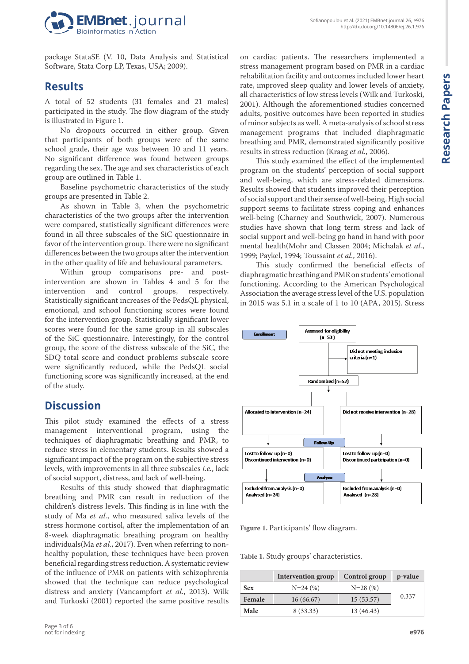

package StataSE (V. 10, Data Analysis and Statistical Software, Stata Corp LP, Texas, USA; 2009).

## **Results**

A total of 52 students (31 females and 21 males) participated in the study. The flow diagram of the study is illustrated in Figure 1.

No dropouts occurred in either group. Given that participants of both groups were of the same school grade, their age was between 10 and 11 years. No significant difference was found between groups regarding the sex. The age and sex characteristics of each group are outlined in Table 1.

Baseline psychometric characteristics of the study groups are presented in Table 2.

As shown in Table 3, when the psychometric characteristics of the two groups after the intervention were compared, statistically significant differences were found in all three subscales of the SiC questionnaire in favor of the intervention group. There were no significant differences between the two groups after the intervention in the other quality of life and behavioural parameters.

Within group comparisons pre- and postintervention are shown in Tables 4 and 5 for the intervention and control groups, respectively. Statistically significant increases of the PedsQL physical, emotional, and school functioning scores were found for the intervention group. Statistically significant lower scores were found for the same group in all subscales of the SiC questionnaire. Interestingly, for the control group, the score of the distress subscale of the SiC, the SDQ total score and conduct problems subscale score were significantly reduced, while the PedsQL social functioning score was significantly increased, at the end of the study.

## **Discussion**

This pilot study examined the effects of a stress management interventional program, using the techniques of diaphragmatic breathing and PMR, to reduce stress in elementary students. Results showed a significant impact of the program on the subjective stress levels, with improvements in all three subscales *i.e.*, lack of social support, distress, and lack of well-being.

Results of this study showed that diaphragmatic breathing and PMR can result in reduction of the children's distress levels. This finding is in line with the study of Ma *et al.*, who measured saliva levels of the stress hormone cortisol, after the implementation of an 8-week diaphragmatic breathing program on healthy individuals(Ma *et al.*, 2017). Even when referring to nonhealthy population, these techniques have been proven beneficial regarding stress reduction. A systematic review of the influence of PMR on patients with schizophrenia showed that the technique can reduce psychological distress and anxiety (Vancampfort *et al.*, 2013). Wilk and Turkoski (2001) reported the same positive results

on cardiac patients. The researchers implemented a stress management program based on PMR in a cardiac rehabilitation facility and outcomes included lower heart rate, improved sleep quality and lower levels of anxiety, all characteristics of low stress levels (Wilk and Turkoski, 2001). Although the aforementioned studies concerned adults, positive outcomes have been reported in studies of minor subjects as well. A meta-analysis of school stress management programs that included diaphragmatic breathing and PMR, demonstrated significantly positive results in stress reduction (Kraag *et al.*, 2006).

This study examined the effect of the implemented program on the students' perception of social support and well-being, which are stress-related dimensions. Results showed that students improved their perception of social support and their sense of well-being. High social support seems to facilitate stress coping and enhances well-being (Charney and Southwick, 2007). Numerous studies have shown that long term stress and lack of social support and well-being go hand in hand with poor mental health(Mohr and Classen 2004; Michalak *et al.*, 1999; Paykel, 1994; Toussaint *et al.*, 2016).

This study confirmed the beneficial effects of diaphragmatic breathing and PMR on students' emotional functioning. According to the American Psychological Association the average stress level of the U.S. population in 2015 was 5.1 in a scale of 1 to 10 (APA, 2015). Stress



**Figure 1.** Participants' flow diagram.

**Table 1.** Study groups' characteristics.

|            | <b>Intervention group</b> | Control group | p-value |
|------------|---------------------------|---------------|---------|
| <b>Sex</b> | $N=24(%)$                 | $N=28(%)$     |         |
| Female     | 16(66.67)                 | 15(53.57)     | 0.337   |
| Male       | 8 (33.33)                 | 13 (46.43)    |         |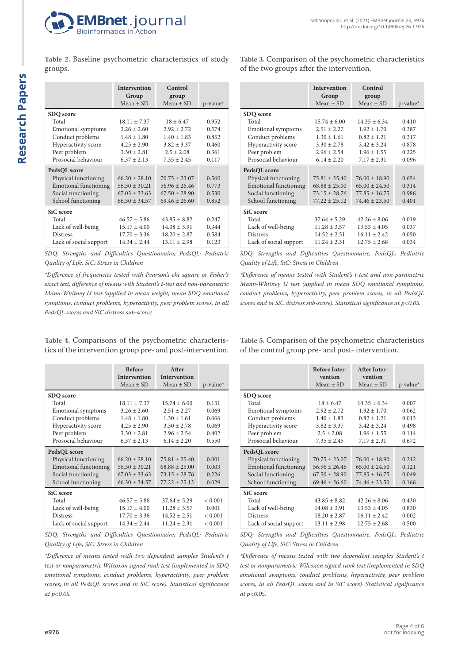

**Table 2.** Baseline psychometric characteristics of study groups.

|                              | <b>Intervention</b><br>Group | Control<br>group  |             |
|------------------------------|------------------------------|-------------------|-------------|
|                              | Mean $\pm$ SD                | Mean $\pm$ SD     | $p$ -value* |
| SDQ score                    |                              |                   |             |
| Total                        | $18.11 \pm 7.37$             | $18 + 6.47$       | 0.952       |
| Emotional symptoms           | $3.26 \pm 2.60$              | $2.92 \pm 2.72$   | 0.574       |
| Conduct problems             | $1.48 \pm 1.80$              | $1.40 \pm 1.83$   | 0.852       |
| Hyperactivity score          | $4.25 \pm 2.90$              | $3.82 \pm 3.37$   | 0.460       |
| Peer problem                 | $3.30 \pm 2.81$              | $2.5 \pm 2.08$    | 0.361       |
| Prosocial behaviour          | $6.37 \pm 2.13$              | $7.35 \pm 2.45$   | 0.117       |
| PedsQL score                 |                              |                   |             |
| Physical functioning         | $66.20 + 28.10$              | $70.75 + 23.07$   | 0.560       |
| <b>Emotional functioning</b> | $56.30 \pm 30.21$            | $56.96 \pm 26.46$ | 0.773       |
| Social functioning           | $67.03 \pm 33.63$            | $67.50 \pm 28.90$ | 0.530       |
| School functioning           | $66.30 \pm 34.57$            | $69.46 \pm 26.60$ | 0.852       |
| SiC score                    |                              |                   |             |
| Total                        | $46.57 \pm 5.86$             | $43.85 \pm 8.82$  | 0.247       |
| Lack of well-being           | $15.17 \pm 4.00$             | $14.08 \pm 3.91$  | 0.344       |
| <b>Distress</b>              | $17.70 \pm 3.36$             | $18.20 \pm 2.87$  | 0.584       |
| Lack of social support       | $14.34 \pm 2.44$             | $13.11 \pm 2.98$  | 0.123       |

**Table 3.** Comparison of the psychometric characteristics of the two groups after the intervention.

|                              | <b>Intervention</b><br>Group<br>$Mean + SD$ | Control<br>group<br>$Mean + SD$ | $p$ -value* |
|------------------------------|---------------------------------------------|---------------------------------|-------------|
| SDQ score                    |                                             |                                 |             |
| Total                        | $15.74 \pm 6.00$                            | $14.35 + 6.34$                  | 0.410       |
| <b>Emotional symptoms</b>    | $2.51 + 2.27$                               | $1.92 \pm 1.70$                 | 0.387       |
| Conduct problems             | $1.30 \pm 1.61$                             | $0.82 \pm 1.21$                 | 0.317       |
| Hyperactivity score          | $3.30 \pm 2.78$                             | $3.42 + 3.24$                   | 0.878       |
| Peer problem                 | $2.96 \pm 2.54$                             | $1.96 \pm 1.55$                 | 0.225       |
| Prosocial behaviour          | $6.14 \pm 2.20$                             | $7.17 \pm 2.31$                 | 0.096       |
| PedsQL score                 |                                             |                                 |             |
| Physical functioning         | $75.81 \pm 25.40$                           | $76.00 \pm 18.90$               | 0.654       |
| <b>Emotional functioning</b> | $68.88 \pm 25.00$                           | $65.00 \pm 24.50$               | 0.314       |
| Social functioning           | $73.15 \pm 28.76$                           | $77.85 + 16.75$                 | 0.986       |
| School functioning           | $77.22 + 25.12$                             | $74.46 + 23.50$                 | 0.401       |
| SiC score                    |                                             |                                 |             |
| Total                        | $37.64 \pm 5.29$                            | $42.26 \pm 8.06$                | 0.019       |
| Lack of well-being           | $11.28 \pm 3.57$                            | $13.53 \pm 4.05$                | 0.037       |
| <b>Distress</b>              | $14.52 \pm 2.51$                            | $16.11 \pm 2.42$                | 0.050       |
| Lack of social support       | $11.24 \pm 2.31$                            | $12.75 + 2.68$                  | 0.034       |

*SDQ: Strengths and Difficulties Questionnaire, PedsQL: Pediatric Quality of Life, SiC: Stress in Children*

*\*Difference of frequencies tested with Pearson's chi square or Fisher's exact test, difference of means with Student's t-test and non-parametric Mann-Whitney U test (applied in mean weight, mean SDQ emotional symptoms, conduct problems, hyperactivity, peer problem scores, in all PedsQL scores and SiC distress sub-score).*

**Table 4.** Comparisons of the psychometric characteristics of the intervention group pre- and post-intervention.

|                              | <b>Before</b><br><b>Intervention</b> | <b>After</b><br><b>Intervention</b> |                         |
|------------------------------|--------------------------------------|-------------------------------------|-------------------------|
|                              | $Mean + SD$                          | $Mean + SD$                         | $p$ -value <sup>*</sup> |
| SDQ score                    |                                      |                                     |                         |
| Total                        | $18.11 + 7.37$                       | $15.74 + 6.00$                      | 0.131                   |
| Emotional symptoms           | $3.26 \pm 2.60$                      | $2.51 \pm 2.27$                     | 0.069                   |
| Conduct problems             | $1.48 \pm 1.80$                      | $1.30 \pm 1.61$                     | 0.666                   |
| Hyperactivity score          | $4.25 \pm 2.90$                      | $3.30 + 2.78$                       | 0.069                   |
| Peer problem                 | $3.30 \pm 2.81$                      | $2.96 \pm 2.54$                     | 0.402                   |
| Prosocial behaviour          | $6.37 \pm 2.13$                      | $6.14 \pm 2.20$                     | 0.550                   |
| PedsQL score                 |                                      |                                     |                         |
| Physical functioning         | $66.20 \pm 28.10$                    | $75.81 \pm 25.40$                   | 0.001                   |
| <b>Emotional functioning</b> | $56.30 \pm 30.21$                    | $68.88 \pm 25.00$                   | 0.003                   |
| Social functioning           | $67.03 \pm 33.63$                    | $73.15 \pm 28.76$                   | 0.226                   |
| School functioning           | $66.30 \pm 34.57$                    | $77.22 \pm 25.12$                   | 0.029                   |
| SiC score                    |                                      |                                     |                         |
| Total                        | $46.57 \pm 5.86$                     | $37.64 + 5.29$                      | < 0.001                 |
| Lack of well-being           | $15.17 \pm 4.00$                     | $11.28 \pm 3.57$                    | 0.001                   |
| <b>Distress</b>              | $17.70 \pm 3.36$                     | $14.52 \pm 2.51$                    | < 0.001                 |
| Lack of social support       | $14.34 \pm 2.44$                     | $11.24 \pm 2.31$                    | ${}_{< 0.001}$          |

*SDQ: Strengths and Difficulties Questionnaire, PedsQL: Pediatric Quality of Life, SiC: Stress in Children* 

*\*Difference of means tested with two dependent samples Student's t test or nonparametric Wilcoxon signed rank test (implemented in SDQ emotional symptoms, conduct problems, hyperactivity, peer problem scores, in all PedsQL scores and in SiC score). Statistical significance at p<0.05.*

*SDQ: Strengths and Difficulties Questionnaire, PedsQL: Pediatric Quality of Life, SiC: Stress in Children* 

*\*Difference of means tested with Student's t-test and non-parametric Mann-Whitney U test (applied in mean SDQ emotional symptoms, conduct problems, hyperactivity, peer problem scores, in all PedsQL scores and in SiC distress sub-score). Statistical significance at p<0.05.*

**Table 5.** Comparison of the psychometric characteristics of the control group pre- and post- intervention.

|                              | <b>Before Inter-</b><br>vention | <b>After Inter-</b><br>vention |             |
|------------------------------|---------------------------------|--------------------------------|-------------|
|                              | Mean $\pm$ SD                   | Mean $\pm$ SD                  | $p$ -value* |
| SDQ score                    |                                 |                                |             |
| Total                        | $18 \pm 6.47$                   | $14.35 + 6.34$                 | 0.007       |
| Emotional symptoms           | $2.92 \pm 2.72$                 | $1.92 \pm 1.70$                | 0.062       |
| Conduct problems             | $1.40 \pm 1.83$                 | $0.82 \pm 1.21$                | 0.013       |
| Hyperactivity score          | $3.82 \pm 3.37$                 | $3.42 + 3.24$                  | 0.498       |
| Peer problem                 | $2.5 \pm 2.08$                  | $1.96 \pm 1.55$                | 0.114       |
| Prosocial behaviour          | $7.35 \pm 2.45$                 | $7.17 \pm 2.31$                | 0.672       |
| PedsQL score                 |                                 |                                |             |
| Physical functioning         | $70.75 + 23.07$                 | $76.00 + 18.90$                | 0.212       |
| <b>Emotional functioning</b> | $56.96 \pm 26.46$               | $65.00 \pm 24.50$              | 0.121       |
| Social functioning           | $67.50 \pm 28.90$               | $77.85 \pm 16.75$              | 0.049       |
| School functioning           | $69.46 + 26.60$                 | $74.46 + 23.50$                | 0.166       |
| SiC score                    |                                 |                                |             |
| Total                        | $43.85 \pm 8.82$                | $42.26 \pm 8.06$               | 0.430       |
| Lack of well-being           | $14.08 \pm 3.91$                | $13.53 \pm 4.05$               | 0.830       |
| <b>Distress</b>              | $18.20 \pm 2.87$                | $16.11 \pm 2.42$               | 0.002       |
| Lack of social support       | $13.11 \pm 2.98$                | $12.75 + 2.68$                 | 0.500       |

*SDQ: Strengths and Difficulties Questionnaire, PedsQL: Pediatric Quality of Life, SiC: Stress in Children* 

*\*Difference of means tested with two dependent samples Student's t test or nonparametric Wilcoxon signed rank test (implemented in SDQ emotional symptoms, conduct problems, hyperactivity, peer problem scores, in all PedsQL scores and in SiC score). Statistical significance at p<0.05.*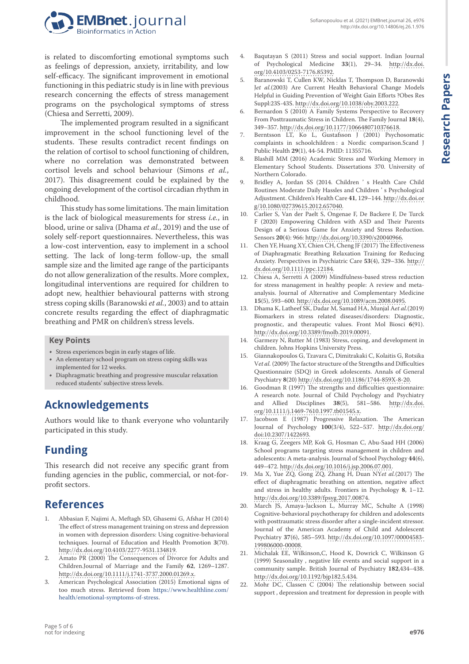

is related to discomforting emotional symptoms such as feelings of depression, anxiety, irritability, and low self-efficacy. The significant improvement in emotional functioning in this pediatric study is in line with previous research concerning the effects of stress management programs on the psychological symptoms of stress (Chiesa and Serretti, 2009).

The implemented program resulted in a significant improvement in the school functioning level of the students. These results contradict recent findings on the relation of cortisol to school functioning of children, where no correlation was demonstrated between cortisol levels and school behaviour (Simons *et al.*, 2017). This disagreement could be explained by the ongoing development of the cortisol circadian rhythm in childhood.

This study has some limitations. The main limitation is the lack of biological measurements for stress *i.e.*, in blood, urine or saliva (Dhama *et al.*, 2019) and the use of solely self-report questionnaires. Nevertheless, this was a low-cost intervention, easy to implement in a school setting. The lack of long-term follow-up, the small sample size and the limited age range of the participants do not allow generalization of the results. More complex, longitudinal interventions are required for children to adopt new, healthier behavioural patterns with strong stress coping skills (Baranowski *et al.*, 2003) and to attain concrete results regarding the effect of diaphragmatic breathing and PMR on children's stress levels.

#### **Key Points**

- Stress experiences begin in early stages of life.
- An elementary school program on stress coping skills was implemented for 12 weeks.
- Diaphragmatic breathing and progressive muscular relaxation reduced students' subjective stress levels.

# **Acknowledgements**

Authors would like to thank everyone who voluntarily participated in this study.

# **Funding**

This research did not receive any specific grant from funding agencies in the public, commercial, or not-forprofit sectors.

# **References**

- 1. Abbasian F, Najimi A, Meftagh SD, Ghasemi G, Afshar H (2014) The effect of stress management training on stress and depression in women with depression disorders: Using cognitive-behavioral techniques. Journal of Education and Health Promotion **3**(70). [http://dx.doi.org/10.4103/2277-9531.134819.](http://dx.doi.org/10.4103/2277-9531.134819)
- 2. Amato PR (2000) The Consequences of Divorce for Adults and Children.Journal of Marriage and the Family **62**, 1269–1287. <http://dx.doi.org/10.1111/j.1741-3737.2000.01269.x>.
- 3. American Psychological Association (2015) Emotional signs of too much stress. Retrieved from [https://www.healthline.com/](https://www.healthline.com/health/emotional-symptoms-of-stress) [health/emotional-symptoms-of-stress](https://www.healthline.com/health/emotional-symptoms-of-stress).

4. Baqutayan S (2011) Stress and social support. Indian Journal of Psychological Medicine **33**(1), 29–34. [http://dx.doi.](http://dx.doi.org/10.4103/0253-7176.85392) [org/10.4103/0253-7176.85392.](http://dx.doi.org/10.4103/0253-7176.85392)

Sofianopoulou et al. (2021) EMBnet.journal 26, e976

<http://dx.doi.org/10.14806/ej.26.1.976>

- 5. Baranowski T, Cullen KW, Nicklas T, Thompson D, Baranowski J*et al.*(2003) Are Current Health Behavioral Change Models Helpful in Guiding Prevention of Weight Gain Efforts ?Obes Res Suppl:23S-43S. [http://dx.doi.org/10.1038/oby.2003.222.](http://dx.doi.org/10.1038/oby.2003.222)
- 6. Bernardon S (2010) A Family Systems Perspective to Recovery From Posttraumatic Stress in Children. The Family Journal **18**(4), 349–357. [http://dx.doi.org/10.1177/1066480710376618.](http://dx.doi.org/10.1177/1066480710376618)
- 7. Berntsson LT, Ko L, Gustafsson J (2001) Psychosomatic complaints in schoolchildren : a Nordic comparison.Scand J Public Health **29**(1), 44-54. PMID: 11355716.
- 8. Blashill MM (2016) Academic Stress and Working Memory in Elementary School Students. Dissertations 370. University of Northern Colorado.
- 9. Bridley A, Jordan SS (2014. Children ' s Health Care Child Routines Moderate Daily Hassles and Children ' s Psychological Adjustment. Children's Health Care **41**, 129–144. [http://dx.doi.or](http://dx.doi.org/10.1080/02739615.2012.657040) [g/10.1080/02739615.2012.657040](http://dx.doi.org/10.1080/02739615.2012.657040).
- 10. Carlier S, Van der Paelt S, Ongenae F, De Backere F, De Turck F (2020) Empowering Children with ASD and Their Parents Design of a Serious Game for Anxiety and Stress Reduction. Sensors **20**(4): 966: <http://dx.doi.org/10.3390/s20040966>.
- 11. Chen YF, Huang XY, Chien CH, Cheng JF (2017) The Effectiveness of Diaphragmatic Breathing Relaxation Training for Reducing Anxiety. Perspectives in Psychiatric Care **53**(4), 329–336. [http://](http://dx.doi.org/10.1111/ppc.12184) [dx.doi.org/10.1111/ppc.12184.](http://dx.doi.org/10.1111/ppc.12184)
- 12. Chiesa A, Serretti A (2009) Mindfulness-based stress reduction for stress management in healthy people: A review and metaanalysis. Journal of Alternative and Complementary Medicine **15**(5), 593–600. [http://dx.doi.org/10.1089/acm.2008.0495.](http://dx.doi.org/10.1089/acm.2008.0495)
- 13. Dhama K, Latheef SK, Dadar M, Samad HA, Munjal A*et al.*(2019) Biomarkers in stress related diseases/disorders: Diagnostic, prognostic, and therapeutic values. Front Mol Biosci **6**(91). <http://dx.doi.org/10.3389/fmolb.2019.00091>.
- 14. Garmezy N, Rutter M (1983) Stress, coping, and development in children. Johns Hopkins University Press.
- 15. Giannakopoulos G, Tzavara C, Dimitrakaki C, Kolaitis G, Rotsika V*et al.* (2009) The factor structure of the Strengths and Difficulties Questionnaire (SDQ) in Greek adolescents. Annals of General Psychiatry **8**(20) <http://dx.doi.org/10.1186/1744-859X-8-20>.
- 16. Goodman R (1997) The strengths and difficulties questionnaire: A research note. Journal of Child Psychology and Psychiatry and Allied Disciplines **38**(5), 581–586. [http://dx.doi.](http://dx.doi.org/10.1111/j.1469-7610.1997.tb01545.x) [org/10.1111/j.1469-7610.1997.tb01545.x.](http://dx.doi.org/10.1111/j.1469-7610.1997.tb01545.x)
- 17. Jacobson E (1987) Progressive Relaxation. The American Journal of Psychology **100**(3/4), 522–537. [http://dx.doi.org/](http://dx.doi.org/doi:10.2307/1422693) [doi:10.2307/1422693](http://dx.doi.org/doi:10.2307/1422693).
- 18. Kraag G, Zeegers MP, Kok G, Hosman C, Abu-Saad HH (2006) School programs targeting stress management in children and adolescents: A meta-analysis. Journal of School Psychology **44**(6), 449–472.<http://dx.doi.org/10.1016/j.jsp.2006.07.001>.
- 19. Ma X, Yue ZQ, Gong ZQ, Zhang H, Duan NY*et al.*(2017) The effect of diaphragmatic breathing on attention, negative affect and stress in healthy adults. Frontiers in Psychology **8**, 1–12. <http://dx.doi.org/10.3389/fpsyg.2017.00874>.
- 20. March JS, Amaya-Jackson L, Murray MC, Schulte A (1998) Cognitive-behavioral psychotherapy for children and adolescents with posttraumatic stress disorder after a single-incident stressor. Journal of the American Academy of Child and Adolescent Psychiatry **37**(6), 585–593. [http://dx.doi.org/10.1097/00004583-](http://dx.doi.org/10.1097/00004583-199806000-00008) [199806000-00008.](http://dx.doi.org/10.1097/00004583-199806000-00008)
- 21. Michalak EE, Wilkinson,C, Hood K, Dowrick C, Wilkinson G (1999) Seasonality , negative life events and social support in a community sample. British Journal of Psychiatry **182**,434–438. <http://dx.doi.org/10.1192/bjp182.5.434>.
- 22. Mohr DC, Classen C (2004) The relationship between social support , depression and treatment for depression in people with